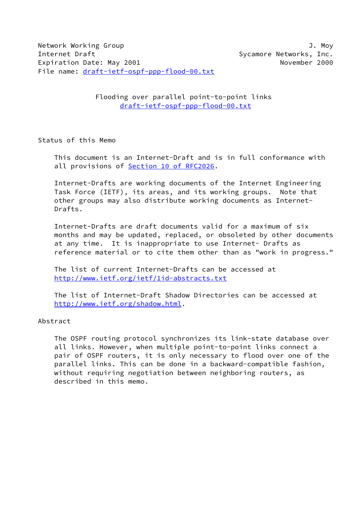Flooding over parallel point-to-point links [draft-ietf-ospf-ppp-flood-00.txt](https://datatracker.ietf.org/doc/pdf/draft-ietf-ospf-ppp-flood-00.txt)

Status of this Memo

 This document is an Internet-Draft and is in full conformance with all provisions of Section [10 of RFC2026.](https://datatracker.ietf.org/doc/pdf/rfc2026#section-10)

 Internet-Drafts are working documents of the Internet Engineering Task Force (IETF), its areas, and its working groups. Note that other groups may also distribute working documents as Internet- Drafts.

 Internet-Drafts are draft documents valid for a maximum of six months and may be updated, replaced, or obsoleted by other documents at any time. It is inappropriate to use Internet- Drafts as reference material or to cite them other than as "work in progress."

 The list of current Internet-Drafts can be accessed at <http://www.ietf.org/ietf/1id-abstracts.txt>

 The list of Internet-Draft Shadow Directories can be accessed at <http://www.ietf.org/shadow.html>.

# Abstract

 The OSPF routing protocol synchronizes its link-state database over all links. However, when multiple point-to-point links connect a pair of OSPF routers, it is only necessary to flood over one of the parallel links. This can be done in a backward-compatible fashion, without requiring negotiation between neighboring routers, as described in this memo.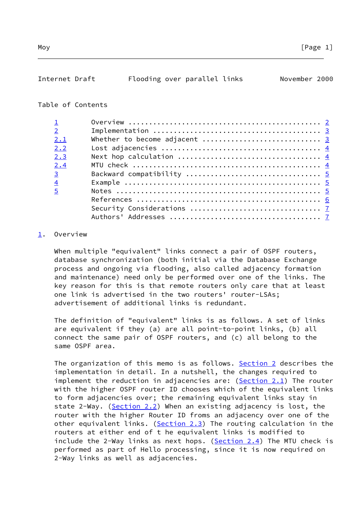<span id="page-1-1"></span>

| Internet Draft | Flooding over parallel links |  | November 2000 |  |
|----------------|------------------------------|--|---------------|--|

# Table of Contents

| $\overline{2}$ |                               |
|----------------|-------------------------------|
| 2.1            | Whether to become adjacent  3 |
| 2.2            |                               |
| 2.3            |                               |
| 2.4            |                               |
| $\overline{3}$ |                               |
| $\overline{4}$ |                               |
| 5              |                               |
|                |                               |
|                |                               |
|                |                               |

# <span id="page-1-0"></span>[1](#page-1-0). Overview

 When multiple "equivalent" links connect a pair of OSPF routers, database synchronization (both initial via the Database Exchange process and ongoing via flooding, also called adjacency formation and maintenance) need only be performed over one of the links. The key reason for this is that remote routers only care that at least one link is advertised in the two routers' router-LSAs; advertisement of additional links is redundant.

 The definition of "equivalent" links is as follows. A set of links are equivalent if they (a) are all point-to-point links, (b) all connect the same pair of OSPF routers, and (c) all belong to the same OSPF area.

The organization of this memo is as follows. [Section 2](#page-2-0) describes the implementation in detail. In a nutshell, the changes required to implement the reduction in adjacencies are:  $(Section 2.1)$  The router with the higher OSPF router ID chooses which of the equivalent links to form adjacencies over; the remaining equivalent links stay in state 2-Way. (Section 2.2) When an existing adjacency is lost, the router with the higher Router ID froms an adjacency over one of the other equivalent links. (Section 2.3) The routing calculation in the routers at either end of t he equivalent links is modified to include the 2-Way links as next hops. (Section 2.4) The MTU check is performed as part of Hello processing, since it is now required on 2-Way links as well as adjacencies.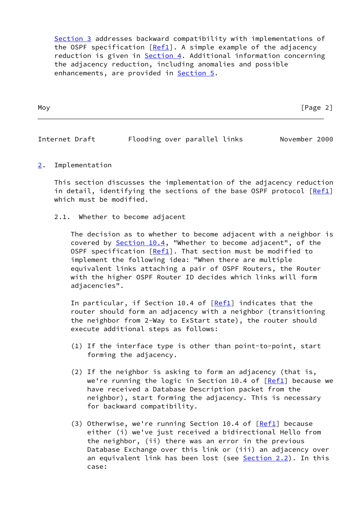[Section 3](#page-4-0) addresses backward compatibility with implementations of the OSPF specification  $[Ref1]$  $[Ref1]$ . A simple example of the adjacency reduction is given in [Section 4.](#page-4-2) Additional information concerning the adjacency reduction, including anomalies and possible enhancements, are provided in **Section 5**.

| Moy | $P$ age<br>-<br>- |
|-----|-------------------|
|     |                   |

<span id="page-2-1"></span>

| Internet Draft |  |  | Flooding over parallel links |  | November 2000 |  |
|----------------|--|--|------------------------------|--|---------------|--|
|----------------|--|--|------------------------------|--|---------------|--|

<span id="page-2-0"></span>[2](#page-2-0). Implementation

 This section discusses the implementation of the adjacency reduction in detail, identifying the sections of the base OSPF protocol [\[Ref1](#page-6-1)] which must be modified.

2.1. Whether to become adjacent

 The decision as to whether to become adjacent with a neighbor is covered by Section 10.4, "Whether to become adjacent", of the OSPF specification  $[Ref1]$  $[Ref1]$ . That section must be modified to implement the following idea: "When there are multiple equivalent links attaching a pair of OSPF Routers, the Router with the higher OSPF Router ID decides which links will form adjacencies".

In particular, if Section 10.4 of  $[Ref1]$  $[Ref1]$  indicates that the router should form an adjacency with a neighbor (transitioning the neighbor from 2-Way to ExStart state), the router should execute additional steps as follows:

- (1) If the interface type is other than point-to-point, start forming the adjacency.
- (2) If the neighbor is asking to form an adjacency (that is, we're running the logic in Section 10.4 of  $[Ref1]$  $[Ref1]$  because we have received a Database Description packet from the neighbor), start forming the adjacency. This is necessary for backward compatibility.
- (3) Otherwise, we're running Section 10.4 of [[Ref1\]](#page-6-1) because either (i) we've just received a bidirectional Hello from the neighbor, (ii) there was an error in the previous Database Exchange over this link or (iii) an adjacency over an equivalent link has been lost (see  $Section 2.2$ ). In this case: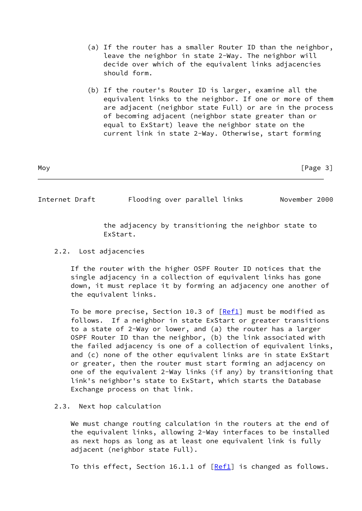- (a) If the router has a smaller Router ID than the neighbor, leave the neighbor in state 2-Way. The neighbor will decide over which of the equivalent links adjacencies should form.
- (b) If the router's Router ID is larger, examine all the equivalent links to the neighbor. If one or more of them are adjacent (neighbor state Full) or are in the process of becoming adjacent (neighbor state greater than or equal to ExStart) leave the neighbor state on the current link in state 2-Way. Otherwise, start forming

| Moy | [Page 3] |
|-----|----------|
|     |          |

<span id="page-3-0"></span>Internet Draft Flooding over parallel links November 2000

 the adjacency by transitioning the neighbor state to ExStart.

2.2. Lost adjacencies

 If the router with the higher OSPF Router ID notices that the single adjacency in a collection of equivalent links has gone down, it must replace it by forming an adjacency one another of the equivalent links.

 To be more precise, Section 10.3 of [\[Ref1](#page-6-1)] must be modified as follows. If a neighbor in state ExStart or greater transitions to a state of 2-Way or lower, and (a) the router has a larger OSPF Router ID than the neighbor, (b) the link associated with the failed adjacency is one of a collection of equivalent links, and (c) none of the other equivalent links are in state ExStart or greater, then the router must start forming an adjacency on one of the equivalent 2-Way links (if any) by transitioning that link's neighbor's state to ExStart, which starts the Database Exchange process on that link.

# 2.3. Next hop calculation

 We must change routing calculation in the routers at the end of the equivalent links, allowing 2-Way interfaces to be installed as next hops as long as at least one equivalent link is fully adjacent (neighbor state Full).

To this effect, Section 16.1.1 of  $[Ref1]$  $[Ref1]$  is changed as follows.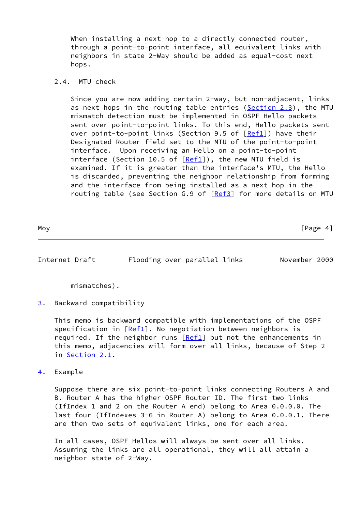When installing a next hop to a directly connected router, through a point-to-point interface, all equivalent links with neighbors in state 2-Way should be added as equal-cost next hops.

### 2.4. MTU check

 Since you are now adding certain 2-way, but non-adjacent, links as next hops in the routing table entries (Section 2.3), the MTU mismatch detection must be implemented in OSPF Hello packets sent over point-to-point links. To this end, Hello packets sent over point-to-point links (Section 9.5 of  $[Ref1]$  $[Ref1]$ ) have their Designated Router field set to the MTU of the point-to-point interface. Upon receiving an Hello on a point-to-point interface (Section 10.5 of  $[Ref1]$  $[Ref1]$ ), the new MTU field is examined. If it is greater than the interface's MTU, the Hello is discarded, preventing the neighbor relationship from forming and the interface from being installed as a next hop in the routing table (see Section G.9 of [\[Ref3](#page-6-2)] for more details on MTU

<span id="page-4-1"></span>Internet Draft Flooding over parallel links November 2000

mismatches).

<span id="page-4-0"></span>[3](#page-4-0). Backward compatibility

 This memo is backward compatible with implementations of the OSPF specification in  $[Ref1]$  $[Ref1]$ . No negotiation between neighbors is required. If the neighbor runs  $[Ref1]$  $[Ref1]$  but not the enhancements in this memo, adjacencies will form over all links, because of Step 2 in Section 2.1.

<span id="page-4-2"></span>[4](#page-4-2). Example

 Suppose there are six point-to-point links connecting Routers A and B. Router A has the higher OSPF Router ID. The first two links (IfIndex 1 and 2 on the Router A end) belong to Area 0.0.0.0. The last four (IfIndexes 3-6 in Router A) belong to Area 0.0.0.1. There are then two sets of equivalent links, one for each area.

 In all cases, OSPF Hellos will always be sent over all links. Assuming the links are all operational, they will all attain a neighbor state of 2-Way.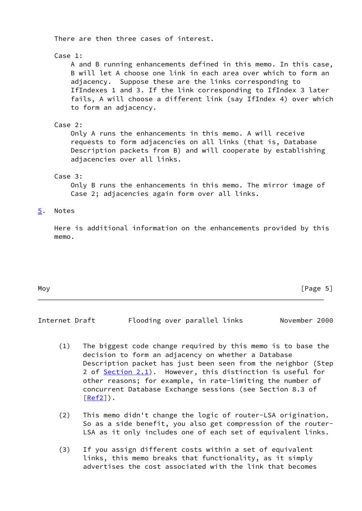There are then three cases of interest. Case 1: A and B running enhancements defined in this memo. In this case, B will let A choose one link in each area over which to form an adjacency. Suppose these are the links corresponding to IfIndexes 1 and 3. If the link corresponding to IfIndex 3 later fails, A will choose a different link (say IfIndex 4) over which to form an adjacency. Case 2: Only A runs the enhancements in this memo. A will receive requests to form adjacencies on all links (that is, Database Description packets from B) and will cooperate by establishing adjacencies over all links. Case 3: Only B runs the enhancements in this memo. The mirror image of Case 2; adjacencies again form over all links. [5](#page-5-0). Notes

<span id="page-5-0"></span> Here is additional information on the enhancements provided by this memo.

| Moy | [Page 5] |
|-----|----------|
|-----|----------|

<span id="page-5-1"></span>Internet Draft Flooding over parallel links November 2000

- (1) The biggest code change required by this memo is to base the decision to form an adjacency on whether a Database Description packet has just been seen from the neighbor (Step 2 of Section 2.1). However, this distinction is useful for other reasons; for example, in rate-limiting the number of concurrent Database Exchange sessions (see Section 8.3 of  $[Ref2]$  $[Ref2]$ .
- (2) This memo didn't change the logic of router-LSA origination. So as a side benefit, you also get compression of the router- LSA as it only includes one of each set of equivalent links.
- (3) If you assign different costs within a set of equivalent links, this memo breaks that functionality, as it simply advertises the cost associated with the link that becomes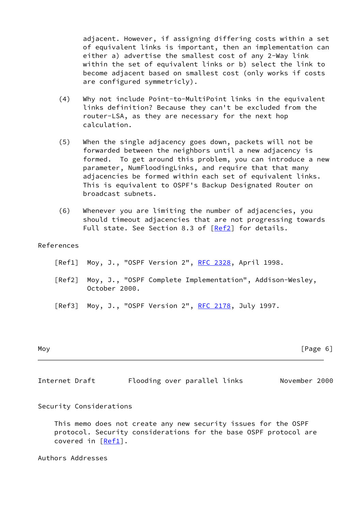adjacent. However, if assigning differing costs within a set of equivalent links is important, then an implementation can either a) advertise the smallest cost of any 2-Way link within the set of equivalent links or b) select the link to become adjacent based on smallest cost (only works if costs are configured symmetricly).

- (4) Why not include Point-to-MultiPoint links in the equivalent links definition? Because they can't be excluded from the router-LSA, as they are necessary for the next hop calculation.
- (5) When the single adjacency goes down, packets will not be forwarded between the neighbors until a new adjacency is formed. To get around this problem, you can introduce a new parameter, NumFloodingLinks, and require that that many adjacencies be formed within each set of equivalent links. This is equivalent to OSPF's Backup Designated Router on broadcast subnets.
- (6) Whenever you are limiting the number of adjacencies, you should timeout adjacencies that are not progressing towards Full state. See Section 8.3 of [\[Ref2](#page-6-3)] for details.

# References

- <span id="page-6-1"></span>[Ref1] Moy, J., "OSPF Version 2", [RFC 2328,](https://datatracker.ietf.org/doc/pdf/rfc2328) April 1998.
- <span id="page-6-3"></span> [Ref2] Moy, J., "OSPF Complete Implementation", Addison-Wesley, October 2000.
- <span id="page-6-2"></span>[Ref3] Moy, J., "OSPF Version 2", [RFC 2178,](https://datatracker.ietf.org/doc/pdf/rfc2178) July 1997.

Moy **Example 2** Page 6 and 2 Page 6 and 2 Page 6 and 2 Page 6 and 2 Page 6 and 2 Page 6 and 2 Page 6 and 2 Page 6 and 2 Page 8 and 2 Page 8 and 2 Page 8 and 2 Page 8 and 2 Page 8 and 2 Page 8 and 2 Page 8 and 2 Page 8 and

<span id="page-6-0"></span>Internet Draft Flooding over parallel links November 2000

# Security Considerations

 This memo does not create any new security issues for the OSPF protocol. Security considerations for the base OSPF protocol are covered in [\[Ref1](#page-6-1)].

Authors Addresses